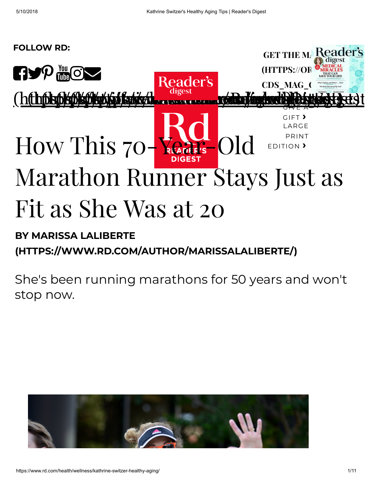

## BY MARISSA LALIBERTE [\(HTTPS://WWW.RD.COM/AUTHOR/MARISSALALIBERTE/\)](https://www.rd.com/author/marissalaliberte/)

She's been running marathons for 50 years and won't stop now.

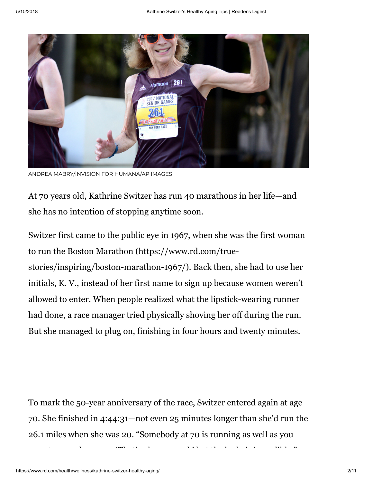

ANDREA MABRY/INVISION FOR HUMANA/AP IMAGES

At 70 years old, Kathrine Switzer has run 40 marathons in her life—and she has no intention of stopping anytime soon.

[Switzer first came to the public eye in 1967, when she was the first woman](https://www.rd.com/true-stories/inspiring/boston-marathon-1967/) to run the Boston Marathon (https://www.rd.com/truestories/inspiring/boston-marathon-1967/). Back then, she had to use her initials, K. V., instead of her first name to sign up because women weren't allowed to enter. When people realized what the lipstick-wearing runner had done, a race manager tried physically shoving her off during the run. But she managed to plug on, finishing in four hours and twenty minutes.

To mark the 50-year anniversary of the race, Switzer entered again at age 70. She finished in 4:44:31—not even 25 minutes longer than she'd run the 26.1 miles when she was 20. "Somebody at 70 is running as well as you

 $t$  d  $t$  f th d i diblom d i i diblom d i i diblom d i i diblom d i i diblom d i i diblom d i i diblom d i i diblom d i i diblom d i i diblom d i i diblom d i i diblom d i i diblom d i i diblom d i i diblom d i i diblom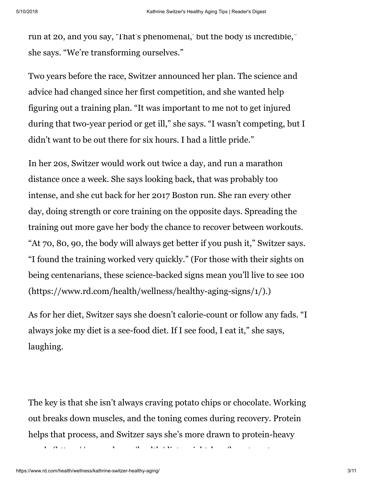run at 20, and you say, 'That's phenomenal,' but the body is incredible," she says. "We're transforming ourselves."

Two years before the race, Switzer announced her plan. The science and advice had changed since her first competition, and she wanted help figuring out a training plan. "It was important to me not to get injured during that two-year period or get ill," she says. "I wasn't competing, but I didn't want to be out there for six hours. I had a little pride."

In her 20s, Switzer would work out twice a day, and run a marathon distance once a week. She says looking back, that was probably too intense, and she cut back for her 2017 Boston run. She ran every other day, doing strength or core training on the opposite days. Spreading the training out more gave her body the chance to recover between workouts. "At 70, 80, 90, the body will always get better if you push it," Switzer says. "I found the training worked very quickly." (For those with their sights on [being centenarians, these science-backed signs mean you'll live to see 100](https://www.rd.com/health/wellness/healthy-aging-signs/1/) (https://www.rd.com/health/wellness/healthy-aging-signs/1/).)

As for her diet, Switzer says she doesn't calorie-count or follow any fads. "I always joke my diet is a see-food diet. If I see food, I eat it," she says, laughing.

The key is that she isn't always craving potato chips or chocolate. Working out breaks down muscles, and the toning comes during recovery. Protein [helps that process, and Switzer says she's more drawn to protein-heavy](https://www.rd.com/health/diet-weight-loss/how-to-eat-more-protein/1/)

 $\mathbf{h}$  (http://wit.in.com/distribution in the interval of the interval  $\mathbf{h}$  is the interval of the interval of the interval of the interval of the interval of the interval of the interval of the interval of the inte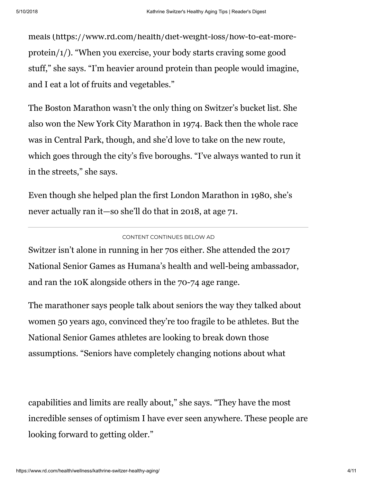meals (https://www.rd.com/health/diet-weight-loss/how-to-eat-more[protein/1/\). "When you exercise, your body starts craving some good](https://www.rd.com/health/diet-weight-loss/how-to-eat-more-protein/1/) stuff," she says. "I'm heavier around protein than people would imagine, and I eat a lot of fruits and vegetables."

The Boston Marathon wasn't the only thing on Switzer's bucket list. She also won the New York City Marathon in 1974. Back then the whole race was in Central Park, though, and she'd love to take on the new route, which goes through the city's five boroughs. "I've always wanted to run it in the streets," she says.

Even though she helped plan the first London Marathon in 1980, she's never actually ran it—so she'll do that in 2018, at age 71.

## CONTENT CONTINUES BELOW AD

Switzer isn't alone in running in her 70s either. She attended the 2017 National Senior Games as Humana's health and well-being ambassador, and ran the 10K alongside others in the 70-74 age range.

The marathoner says people talk about seniors the way they talked about women 50 years ago, convinced they're too fragile to be athletes. But the National Senior Games athletes are looking to break down those assumptions. "Seniors have completely changing notions about what

capabilities and limits are really about," she says. "They have the most incredible senses of optimism I have ever seen anywhere. These people are looking forward to getting older."